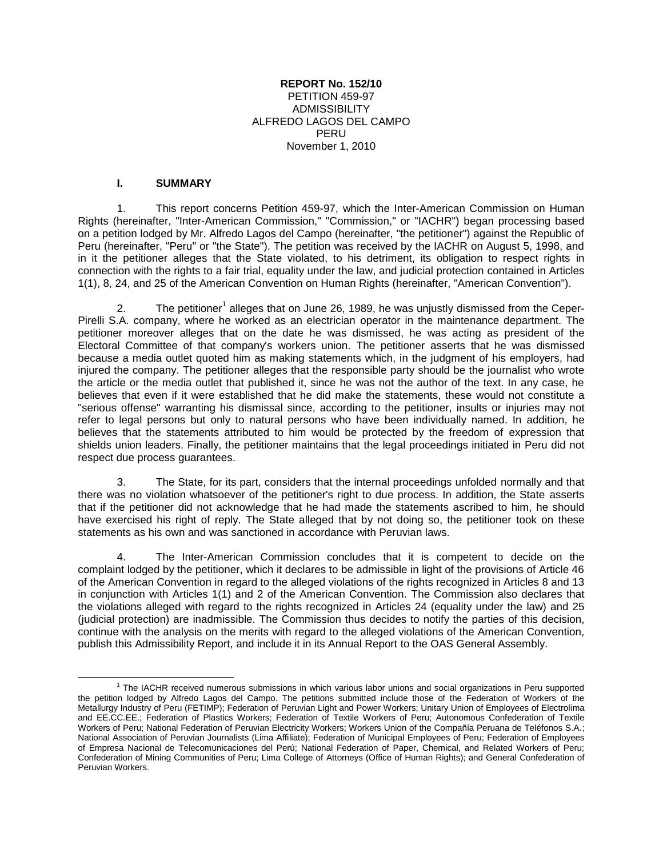#### **REPORT No. 152/10** PETITION 459-97 **ADMISSIBILITY** ALFREDO LAGOS DEL CAMPO PERU November 1, 2010

#### **I. SUMMARY**

1. This report concerns Petition 459-97, which the Inter-American Commission on Human Rights (hereinafter, "Inter-American Commission," "Commission," or "IACHR") began processing based on a petition lodged by Mr. Alfredo Lagos del Campo (hereinafter, "the petitioner") against the Republic of Peru (hereinafter, "Peru" or "the State"). The petition was received by the IACHR on August 5, 1998, and in it the petitioner alleges that the State violated, to his detriment, its obligation to respect rights in connection with the rights to a fair trial, equality under the law, and judicial protection contained in Articles 1(1), 8, 24, and 25 of the American Convention on Human Rights (hereinafter, "American Convention").

2. The petitioner<sup>1</sup> alleges that on June 26, 1989, he was unjustly dismissed from the Ceper-Pirelli S.A. company, where he worked as an electrician operator in the maintenance department. The petitioner moreover alleges that on the date he was dismissed, he was acting as president of the Electoral Committee of that company's workers union. The petitioner asserts that he was dismissed because a media outlet quoted him as making statements which, in the judgment of his employers, had injured the company. The petitioner alleges that the responsible party should be the journalist who wrote the article or the media outlet that published it, since he was not the author of the text. In any case, he believes that even if it were established that he did make the statements, these would not constitute a "serious offense" warranting his dismissal since, according to the petitioner, insults or injuries may not refer to legal persons but only to natural persons who have been individually named. In addition, he believes that the statements attributed to him would be protected by the freedom of expression that shields union leaders. Finally, the petitioner maintains that the legal proceedings initiated in Peru did not respect due process guarantees.

3. The State, for its part, considers that the internal proceedings unfolded normally and that there was no violation whatsoever of the petitioner's right to due process. In addition, the State asserts that if the petitioner did not acknowledge that he had made the statements ascribed to him, he should have exercised his right of reply. The State alleged that by not doing so, the petitioner took on these statements as his own and was sanctioned in accordance with Peruvian laws.

4. The Inter-American Commission concludes that it is competent to decide on the complaint lodged by the petitioner, which it declares to be admissible in light of the provisions of Article 46 of the American Convention in regard to the alleged violations of the rights recognized in Articles 8 and 13 in conjunction with Articles 1(1) and 2 of the American Convention. The Commission also declares that the violations alleged with regard to the rights recognized in Articles 24 (equality under the law) and 25 (judicial protection) are inadmissible. The Commission thus decides to notify the parties of this decision, continue with the analysis on the merits with regard to the alleged violations of the American Convention, publish this Admissibility Report, and include it in its Annual Report to the OAS General Assembly.

 $\overline{\phantom{a}}$ <sup>1</sup> The IACHR received numerous submissions in which various labor unions and social organizations in Peru supported the petition lodged by Alfredo Lagos del Campo. The petitions submitted include those of the Federation of Workers of the Metallurgy Industry of Peru (FETIMP); Federation of Peruvian Light and Power Workers; Unitary Union of Employees of Electrolima and EE.CC.EE.; Federation of Plastics Workers; Federation of Textile Workers of Peru; Autonomous Confederation of Textile Workers of Peru; National Federation of Peruvian Electricity Workers; Workers Union of the Compañía Peruana de Teléfonos S.A.; National Association of Peruvian Journalists (Lima Affiliate); Federation of Municipal Employees of Peru; Federation of Employees of Empresa Nacional de Telecomunicaciones del Perú; National Federation of Paper, Chemical, and Related Workers of Peru; Confederation of Mining Communities of Peru; Lima College of Attorneys (Office of Human Rights); and General Confederation of Peruvian Workers.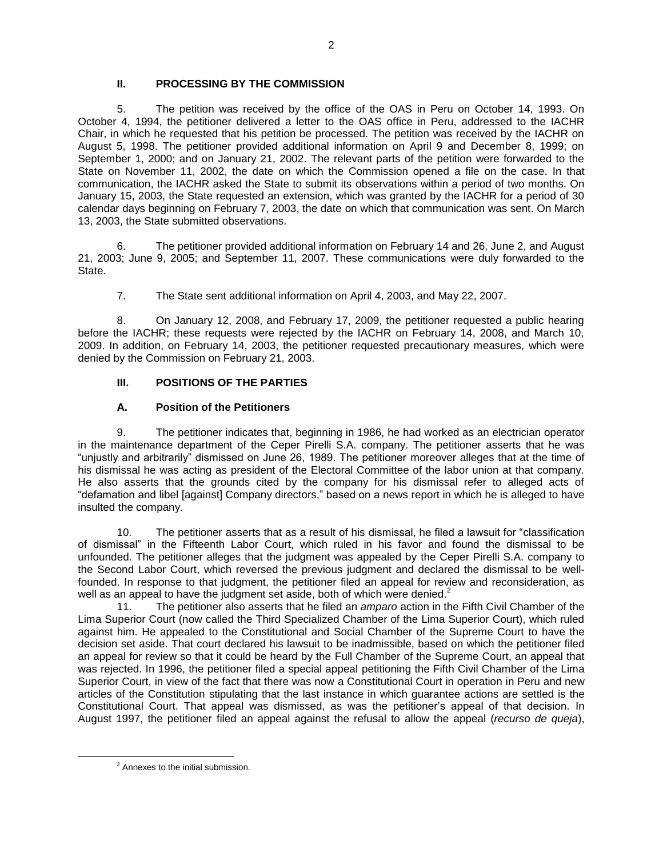# **II. PROCESSING BY THE COMMISSION**

5. The petition was received by the office of the OAS in Peru on October 14, 1993. On October 4, 1994, the petitioner delivered a letter to the OAS office in Peru, addressed to the IACHR Chair, in which he requested that his petition be processed. The petition was received by the IACHR on August 5, 1998. The petitioner provided additional information on April 9 and December 8, 1999; on September 1, 2000; and on January 21, 2002. The relevant parts of the petition were forwarded to the State on November 11, 2002, the date on which the Commission opened a file on the case. In that communication, the IACHR asked the State to submit its observations within a period of two months. On January 15, 2003, the State requested an extension, which was granted by the IACHR for a period of 30 calendar days beginning on February 7, 2003, the date on which that communication was sent. On March 13, 2003, the State submitted observations.

6. The petitioner provided additional information on February 14 and 26, June 2, and August 21, 2003; June 9, 2005; and September 11, 2007. These communications were duly forwarded to the State.

7. The State sent additional information on April 4, 2003, and May 22, 2007.

8. On January 12, 2008, and February 17, 2009, the petitioner requested a public hearing before the IACHR; these requests were rejected by the IACHR on February 14, 2008, and March 10, 2009. In addition, on February 14, 2003, the petitioner requested precautionary measures, which were denied by the Commission on February 21, 2003.

#### **III. POSITIONS OF THE PARTIES**

#### **A. Position of the Petitioners**

9. The petitioner indicates that, beginning in 1986, he had worked as an electrician operator in the maintenance department of the Ceper Pirelli S.A. company. The petitioner asserts that he was "unjustly and arbitrarily" dismissed on June 26, 1989. The petitioner moreover alleges that at the time of his dismissal he was acting as president of the Electoral Committee of the labor union at that company. He also asserts that the grounds cited by the company for his dismissal refer to alleged acts of "defamation and libel [against] Company directors," based on a news report in which he is alleged to have insulted the company.

10. The petitioner asserts that as a result of his dismissal, he filed a lawsuit for "classification of dismissal" in the Fifteenth Labor Court, which ruled in his favor and found the dismissal to be unfounded. The petitioner alleges that the judgment was appealed by the Ceper Pirelli S.A. company to the Second Labor Court, which reversed the previous judgment and declared the dismissal to be wellfounded. In response to that judgment, the petitioner filed an appeal for review and reconsideration, as well as an appeal to have the judgment set aside, both of which were denied.<sup>2</sup>

11. The petitioner also asserts that he filed an *amparo* action in the Fifth Civil Chamber of the Lima Superior Court (now called the Third Specialized Chamber of the Lima Superior Court), which ruled against him. He appealed to the Constitutional and Social Chamber of the Supreme Court to have the decision set aside. That court declared his lawsuit to be inadmissible, based on which the petitioner filed an appeal for review so that it could be heard by the Full Chamber of the Supreme Court, an appeal that was rejected. In 1996, the petitioner filed a special appeal petitioning the Fifth Civil Chamber of the Lima Superior Court, in view of the fact that there was now a Constitutional Court in operation in Peru and new articles of the Constitution stipulating that the last instance in which guarantee actions are settled is the Constitutional Court. That appeal was dismissed, as was the petitioner's appeal of that decision. In August 1997, the petitioner filed an appeal against the refusal to allow the appeal (*recurso de queja*),

 $\overline{\phantom{a}}$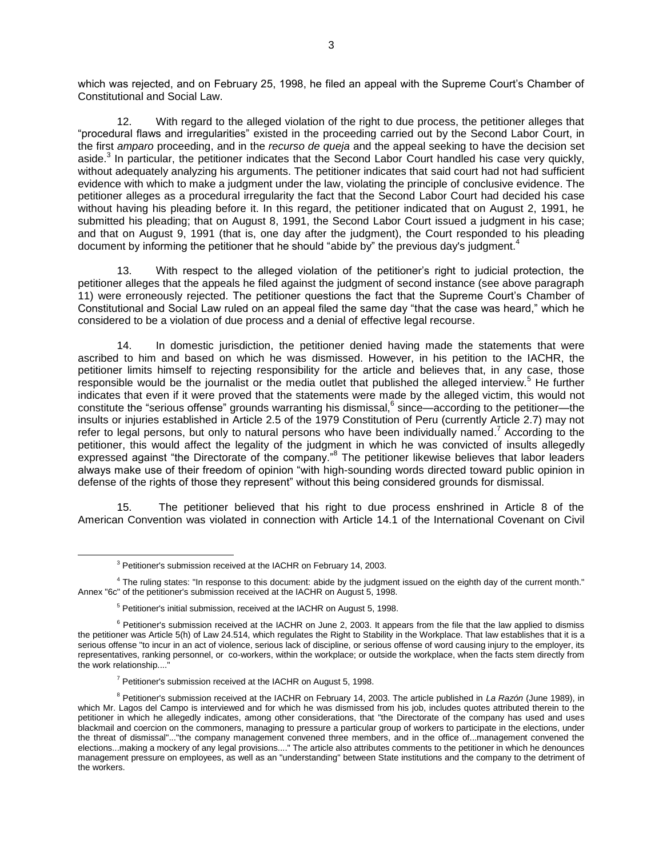which was rejected, and on February 25, 1998, he filed an appeal with the Supreme Court's Chamber of Constitutional and Social Law.

12. With regard to the alleged violation of the right to due process, the petitioner alleges that "procedural flaws and irregularities" existed in the proceeding carried out by the Second Labor Court, in the first *amparo* proceeding, and in the *recurso de queja* and the appeal seeking to have the decision set aside.<sup>3</sup> In particular, the petitioner indicates that the Second Labor Court handled his case very quickly, without adequately analyzing his arguments. The petitioner indicates that said court had not had sufficient evidence with which to make a judgment under the law, violating the principle of conclusive evidence. The petitioner alleges as a procedural irregularity the fact that the Second Labor Court had decided his case without having his pleading before it. In this regard, the petitioner indicated that on August 2, 1991, he submitted his pleading; that on August 8, 1991, the Second Labor Court issued a judgment in his case; and that on August 9, 1991 (that is, one day after the judgment), the Court responded to his pleading document by informing the petitioner that he should "abide by" the previous day's judgment.<sup>4</sup>

13. With respect to the alleged violation of the petitioner's right to judicial protection, the petitioner alleges that the appeals he filed against the judgment of second instance (see above paragraph 11) were erroneously rejected. The petitioner questions the fact that the Supreme Court's Chamber of Constitutional and Social Law ruled on an appeal filed the same day "that the case was heard," which he considered to be a violation of due process and a denial of effective legal recourse.

14. In domestic jurisdiction, the petitioner denied having made the statements that were ascribed to him and based on which he was dismissed. However, in his petition to the IACHR, the petitioner limits himself to rejecting responsibility for the article and believes that, in any case, those responsible would be the journalist or the media outlet that published the alleged interview.<sup>5</sup> He further indicates that even if it were proved that the statements were made by the alleged victim, this would not constitute the "serious offense" grounds warranting his dismissal,  $6$  since—according to the petitioner—the insults or injuries established in Article 2.5 of the 1979 Constitution of Peru (currently Article 2.7) may not refer to legal persons, but only to natural persons who have been individually named.<sup>7</sup> According to the petitioner, this would affect the legality of the judgment in which he was convicted of insults allegedly expressed against "the Directorate of the company." The petitioner likewise believes that labor leaders always make use of their freedom of opinion "with high-sounding words directed toward public opinion in defense of the rights of those they represent" without this being considered grounds for dismissal.

15. The petitioner believed that his right to due process enshrined in Article 8 of the American Convention was violated in connection with Article 14.1 of the International Covenant on Civil

 $\overline{\phantom{a}}$ 

<sup>&</sup>lt;sup>3</sup> Petitioner's submission received at the IACHR on February 14, 2003.

<sup>&</sup>lt;sup>4</sup> The ruling states: "In response to this document: abide by the judgment issued on the eighth day of the current month." Annex "6c" of the petitioner's submission received at the IACHR on August 5, 1998.

<sup>&</sup>lt;sup>5</sup> Petitioner's initial submission, received at the IACHR on August 5, 1998.

 $6$  Petitioner's submission received at the IACHR on June 2, 2003. It appears from the file that the law applied to dismiss the petitioner was Article 5(h) of Law 24.514, which regulates the Right to Stability in the Workplace. That law establishes that it is a serious offense "to incur in an act of violence, serious lack of discipline, or serious offense of word causing injury to the employer, its representatives, ranking personnel, or co-workers, within the workplace; or outside the workplace, when the facts stem directly from the work relationship....

 $7$  Petitioner's submission received at the IACHR on August 5, 1998.

<sup>8</sup> Petitioner's submission received at the IACHR on February 14, 2003. The article published in *La Razón* (June 1989), in which Mr. Lagos del Campo is interviewed and for which he was dismissed from his job, includes quotes attributed therein to the petitioner in which he allegedly indicates, among other considerations, that "the Directorate of the company has used and uses blackmail and coercion on the commoners, managing to pressure a particular group of workers to participate in the elections, under the threat of dismissal"..."the company management convened three members, and in the office of...management convened the elections...making a mockery of any legal provisions...." The article also attributes comments to the petitioner in which he denounces management pressure on employees, as well as an "understanding" between State institutions and the company to the detriment of the workers.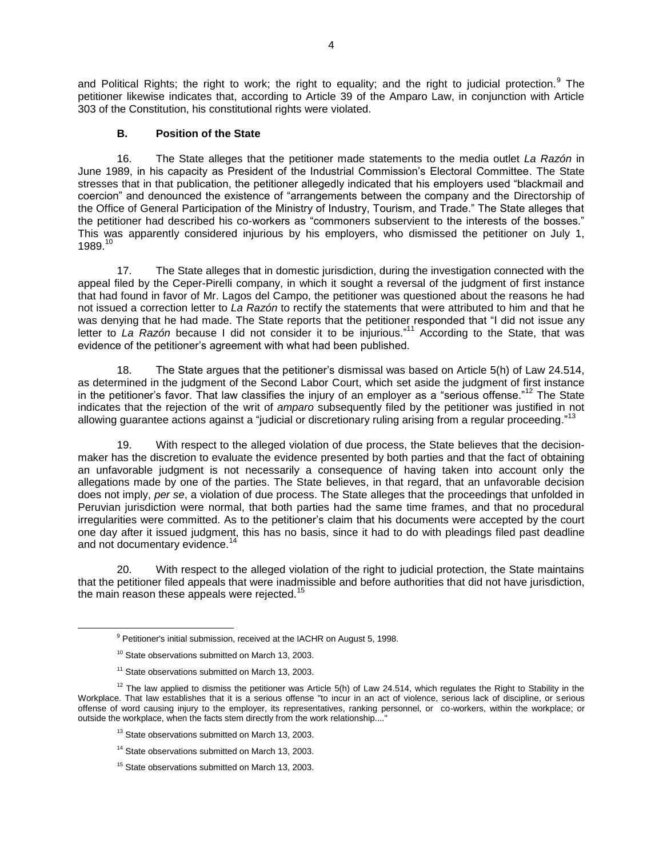and Political Rights; the right to work; the right to equality; and the right to judicial protection.<sup>9</sup> The petitioner likewise indicates that, according to Article 39 of the Amparo Law, in conjunction with Article 303 of the Constitution, his constitutional rights were violated.

#### **B. Position of the State**

16. The State alleges that the petitioner made statements to the media outlet *La Razón* in June 1989, in his capacity as President of the Industrial Commission's Electoral Committee. The State stresses that in that publication, the petitioner allegedly indicated that his employers used "blackmail and coercion" and denounced the existence of "arrangements between the company and the Directorship of the Office of General Participation of the Ministry of Industry, Tourism, and Trade." The State alleges that the petitioner had described his co-workers as "commoners subservient to the interests of the bosses." This was apparently considered injurious by his employers, who dismissed the petitioner on July 1, 1989.<sup>10</sup>

17. The State alleges that in domestic jurisdiction, during the investigation connected with the appeal filed by the Ceper-Pirelli company, in which it sought a reversal of the judgment of first instance that had found in favor of Mr. Lagos del Campo, the petitioner was questioned about the reasons he had not issued a correction letter to *La Razón* to rectify the statements that were attributed to him and that he was denying that he had made. The State reports that the petitioner responded that "I did not issue any letter to *La Razón* because I did not consider it to be injurious."<sup>11</sup> According to the State, that was evidence of the petitioner's agreement with what had been published.

18. The State argues that the petitioner's dismissal was based on Article 5(h) of Law 24.514, as determined in the judgment of the Second Labor Court, which set aside the judgment of first instance in the petitioner's favor. That law classifies the injury of an employer as a "serious offense."<sup>12</sup> The State indicates that the rejection of the writ of *amparo* subsequently filed by the petitioner was justified in not allowing guarantee actions against a "judicial or discretionary ruling arising from a regular proceeding."<sup>13</sup>

19. With respect to the alleged violation of due process, the State believes that the decisionmaker has the discretion to evaluate the evidence presented by both parties and that the fact of obtaining an unfavorable judgment is not necessarily a consequence of having taken into account only the allegations made by one of the parties. The State believes, in that regard, that an unfavorable decision does not imply, *per se*, a violation of due process. The State alleges that the proceedings that unfolded in Peruvian jurisdiction were normal, that both parties had the same time frames, and that no procedural irregularities were committed. As to the petitioner's claim that his documents were accepted by the court one day after it issued judgment, this has no basis, since it had to do with pleadings filed past deadline and not documentary evidence.<sup>14</sup>

20. With respect to the alleged violation of the right to judicial protection, the State maintains that the petitioner filed appeals that were inadmissible and before authorities that did not have jurisdiction, the main reason these appeals were rejected.<sup>15</sup>

 $\overline{a}$ 

<sup>11</sup> State observations submitted on March 13, 2003.

- <sup>13</sup> State observations submitted on March 13, 2003.
- <sup>14</sup> State observations submitted on March 13, 2003.
- <sup>15</sup> State observations submitted on March 13, 2003.

<sup>&</sup>lt;sup>9</sup> Petitioner's initial submission, received at the IACHR on August 5, 1998.

<sup>&</sup>lt;sup>10</sup> State observations submitted on March 13, 2003.

 $12$  The law applied to dismiss the petitioner was Article 5(h) of Law 24.514, which regulates the Right to Stability in the Workplace. That law establishes that it is a serious offense "to incur in an act of violence, serious lack of discipline, or serious offense of word causing injury to the employer, its representatives, ranking personnel, or co-workers, within the workplace; or outside the workplace, when the facts stem directly from the work relationship....'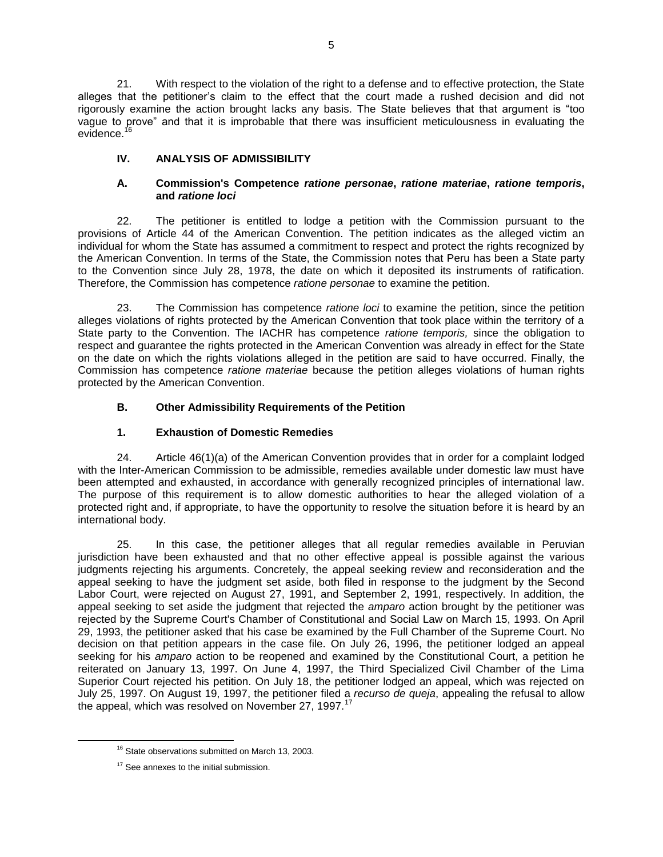21. With respect to the violation of the right to a defense and to effective protection, the State alleges that the petitioner's claim to the effect that the court made a rushed decision and did not rigorously examine the action brought lacks any basis. The State believes that that argument is "too vague to prove" and that it is improbable that there was insufficient meticulousness in evaluating the evidence.<sup>1</sup>

# **IV. ANALYSIS OF ADMISSIBILITY**

#### **A. Commission's Competence** *ratione personae***,** *ratione materiae***,** *ratione temporis***, and** *ratione loci*

22. The petitioner is entitled to lodge a petition with the Commission pursuant to the provisions of Article 44 of the American Convention. The petition indicates as the alleged victim an individual for whom the State has assumed a commitment to respect and protect the rights recognized by the American Convention. In terms of the State, the Commission notes that Peru has been a State party to the Convention since July 28, 1978, the date on which it deposited its instruments of ratification. Therefore, the Commission has competence *ratione personae* to examine the petition.

23. The Commission has competence *ratione loci* to examine the petition, since the petition alleges violations of rights protected by the American Convention that took place within the territory of a State party to the Convention. The IACHR has competence *ratione temporis,* since the obligation to respect and guarantee the rights protected in the American Convention was already in effect for the State on the date on which the rights violations alleged in the petition are said to have occurred. Finally, the Commission has competence *ratione materiae* because the petition alleges violations of human rights protected by the American Convention.

# **B. Other Admissibility Requirements of the Petition**

# **1. Exhaustion of Domestic Remedies**

24. Article 46(1)(a) of the American Convention provides that in order for a complaint lodged with the Inter-American Commission to be admissible, remedies available under domestic law must have been attempted and exhausted, in accordance with generally recognized principles of international law. The purpose of this requirement is to allow domestic authorities to hear the alleged violation of a protected right and, if appropriate, to have the opportunity to resolve the situation before it is heard by an international body.

25. In this case, the petitioner alleges that all regular remedies available in Peruvian jurisdiction have been exhausted and that no other effective appeal is possible against the various judgments rejecting his arguments. Concretely, the appeal seeking review and reconsideration and the appeal seeking to have the judgment set aside, both filed in response to the judgment by the Second Labor Court, were rejected on August 27, 1991, and September 2, 1991, respectively. In addition, the appeal seeking to set aside the judgment that rejected the *amparo* action brought by the petitioner was rejected by the Supreme Court's Chamber of Constitutional and Social Law on March 15, 1993. On April 29, 1993, the petitioner asked that his case be examined by the Full Chamber of the Supreme Court. No decision on that petition appears in the case file. On July 26, 1996, the petitioner lodged an appeal seeking for his *amparo* action to be reopened and examined by the Constitutional Court, a petition he reiterated on January 13, 1997. On June 4, 1997, the Third Specialized Civil Chamber of the Lima Superior Court rejected his petition. On July 18, the petitioner lodged an appeal, which was rejected on July 25, 1997. On August 19, 1997, the petitioner filed a *recurso de queja*, appealing the refusal to allow the appeal, which was resolved on November 27, 1997.<sup>17</sup>

l

<sup>&</sup>lt;sup>16</sup> State observations submitted on March 13, 2003.

<sup>&</sup>lt;sup>17</sup> See annexes to the initial submission.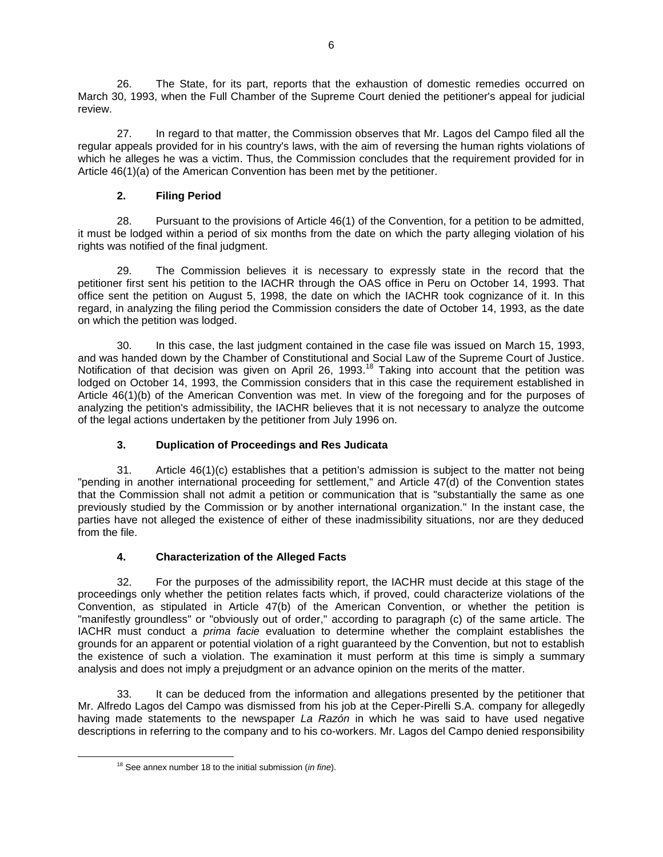26. The State, for its part, reports that the exhaustion of domestic remedies occurred on March 30, 1993, when the Full Chamber of the Supreme Court denied the petitioner's appeal for judicial review.

27. In regard to that matter, the Commission observes that Mr. Lagos del Campo filed all the regular appeals provided for in his country's laws, with the aim of reversing the human rights violations of which he alleges he was a victim. Thus, the Commission concludes that the requirement provided for in Article 46(1)(a) of the American Convention has been met by the petitioner.

# **2. Filing Period**

28. Pursuant to the provisions of Article 46(1) of the Convention, for a petition to be admitted, it must be lodged within a period of six months from the date on which the party alleging violation of his rights was notified of the final judgment.

29. The Commission believes it is necessary to expressly state in the record that the petitioner first sent his petition to the IACHR through the OAS office in Peru on October 14, 1993. That office sent the petition on August 5, 1998, the date on which the IACHR took cognizance of it. In this regard, in analyzing the filing period the Commission considers the date of October 14, 1993, as the date on which the petition was lodged.

30. In this case, the last judgment contained in the case file was issued on March 15, 1993, and was handed down by the Chamber of Constitutional and Social Law of the Supreme Court of Justice. Notification of that decision was given on April 26, 1993.<sup>18</sup> Taking into account that the petition was lodged on October 14, 1993, the Commission considers that in this case the requirement established in Article 46(1)(b) of the American Convention was met. In view of the foregoing and for the purposes of analyzing the petition's admissibility, the IACHR believes that it is not necessary to analyze the outcome of the legal actions undertaken by the petitioner from July 1996 on.

# **3. Duplication of Proceedings and Res Judicata**

31. Article 46(1)(c) establishes that a petition's admission is subject to the matter not being "pending in another international proceeding for settlement," and Article 47(d) of the Convention states that the Commission shall not admit a petition or communication that is "substantially the same as one previously studied by the Commission or by another international organization." In the instant case, the parties have not alleged the existence of either of these inadmissibility situations, nor are they deduced from the file.

# **4. Characterization of the Alleged Facts**

32. For the purposes of the admissibility report, the IACHR must decide at this stage of the proceedings only whether the petition relates facts which, if proved, could characterize violations of the Convention, as stipulated in Article 47(b) of the American Convention, or whether the petition is "manifestly groundless" or "obviously out of order," according to paragraph (c) of the same article. The IACHR must conduct a *prima facie* evaluation to determine whether the complaint establishes the grounds for an apparent or potential violation of a right guaranteed by the Convention, but not to establish the existence of such a violation. The examination it must perform at this time is simply a summary analysis and does not imply a prejudgment or an advance opinion on the merits of the matter.

33. It can be deduced from the information and allegations presented by the petitioner that Mr. Alfredo Lagos del Campo was dismissed from his job at the Ceper-Pirelli S.A. company for allegedly having made statements to the newspaper *La Razón* in which he was said to have used negative descriptions in referring to the company and to his co-workers. Mr. Lagos del Campo denied responsibility

 $\overline{\phantom{a}}$ 

<sup>18</sup> See annex number 18 to the initial submission (*in fine*).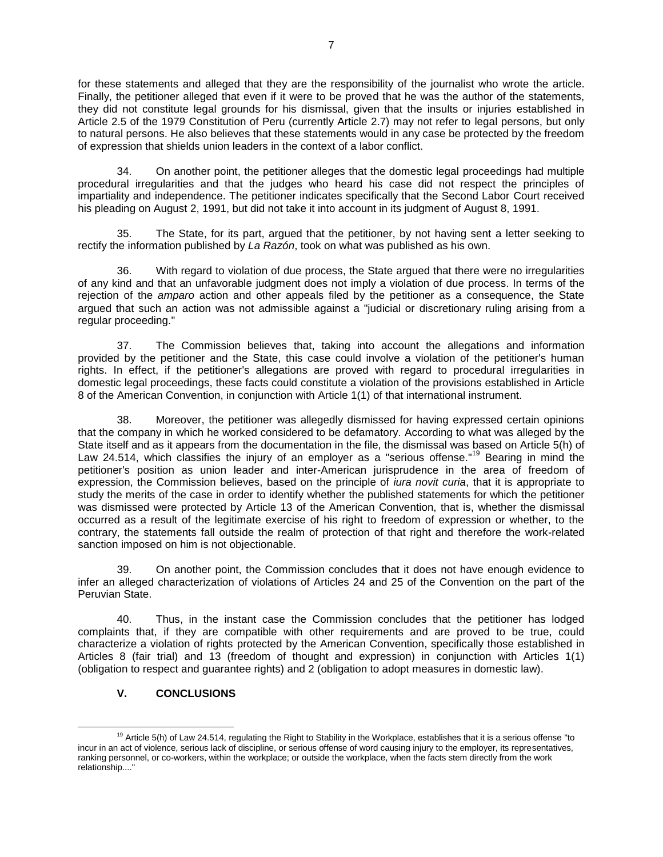for these statements and alleged that they are the responsibility of the journalist who wrote the article. Finally, the petitioner alleged that even if it were to be proved that he was the author of the statements, they did not constitute legal grounds for his dismissal, given that the insults or injuries established in Article 2.5 of the 1979 Constitution of Peru (currently Article 2.7) may not refer to legal persons, but only to natural persons. He also believes that these statements would in any case be protected by the freedom of expression that shields union leaders in the context of a labor conflict.

34. On another point, the petitioner alleges that the domestic legal proceedings had multiple procedural irregularities and that the judges who heard his case did not respect the principles of impartiality and independence. The petitioner indicates specifically that the Second Labor Court received his pleading on August 2, 1991, but did not take it into account in its judgment of August 8, 1991.

35. The State, for its part, argued that the petitioner, by not having sent a letter seeking to rectify the information published by *La Razón*, took on what was published as his own.

36. With regard to violation of due process, the State argued that there were no irregularities of any kind and that an unfavorable judgment does not imply a violation of due process. In terms of the rejection of the *amparo* action and other appeals filed by the petitioner as a consequence, the State argued that such an action was not admissible against a "judicial or discretionary ruling arising from a regular proceeding."

37. The Commission believes that, taking into account the allegations and information provided by the petitioner and the State, this case could involve a violation of the petitioner's human rights. In effect, if the petitioner's allegations are proved with regard to procedural irregularities in domestic legal proceedings, these facts could constitute a violation of the provisions established in Article 8 of the American Convention, in conjunction with Article 1(1) of that international instrument.

38. Moreover, the petitioner was allegedly dismissed for having expressed certain opinions that the company in which he worked considered to be defamatory. According to what was alleged by the State itself and as it appears from the documentation in the file, the dismissal was based on Article 5(h) of Law 24.514, which classifies the injury of an employer as a "serious offense."<sup>19</sup> Bearing in mind the petitioner's position as union leader and inter-American jurisprudence in the area of freedom of expression, the Commission believes, based on the principle of *iura novit curia*, that it is appropriate to study the merits of the case in order to identify whether the published statements for which the petitioner was dismissed were protected by Article 13 of the American Convention, that is, whether the dismissal occurred as a result of the legitimate exercise of his right to freedom of expression or whether, to the contrary, the statements fall outside the realm of protection of that right and therefore the work-related sanction imposed on him is not objectionable.

39. On another point, the Commission concludes that it does not have enough evidence to infer an alleged characterization of violations of Articles 24 and 25 of the Convention on the part of the Peruvian State.

40. Thus, in the instant case the Commission concludes that the petitioner has lodged complaints that, if they are compatible with other requirements and are proved to be true, could characterize a violation of rights protected by the American Convention, specifically those established in Articles 8 (fair trial) and 13 (freedom of thought and expression) in conjunction with Articles 1(1) (obligation to respect and guarantee rights) and 2 (obligation to adopt measures in domestic law).

# **V. CONCLUSIONS**

 $\overline{a}$ <sup>19</sup> Article 5(h) of Law 24.514, regulating the Right to Stability in the Workplace, establishes that it is a serious offense "to incur in an act of violence, serious lack of discipline, or serious offense of word causing injury to the employer, its representatives, ranking personnel, or co-workers, within the workplace; or outside the workplace, when the facts stem directly from the work relationship...."